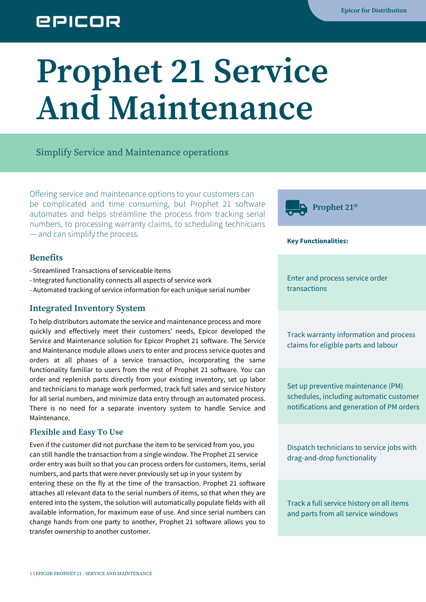## **EPICOR**

# **Prophet 21 Service And Maintenance**

#### Simplify Service and Maintenance operations

Offering service and maintenance options to your customers can be complicated and time consuming, but Prophet 21 software automates and helps streamline the process from tracking serial numbers, to processing warranty claims, to scheduling technicians — and can simplify the process.

#### **Benefits**

- Streamlined Transactions of serviceable items
- Integrated functionality connects all aspects of service work
- Automated tracking of service information for each unique serial number

#### **Integrated Inventory System**

To help distributors automate the service and maintenance process and more quickly and effectively meet their customers' needs, Epicor developed the Service and Maintenance solution for Epicor Prophet 21 software. The Service and Maintenance module allows users to enter and process service quotes and orders at all phases of a service transaction, incorporating the same functionality familiar to users from the rest of Prophet 21 software. You can order and replenish parts directly from your existing inventory, set up labor and technicians to manage work performed, track full sales and service history for all serial numbers, and minimize data entry through an automated process. There is no need for a separate inventory system to handle Service and Maintenance.

#### **Flexible and Easy To Use**

Even if the customer did not purchase the item to be serviced from you, you can still handle the transaction from a single window. The Prophet 21 service order entry was built so that you can process orders for customers, items, serial numbers, and parts that were never previously set up in your system by entering these on the fly at the time of the transaction. Prophet 21 software attaches all relevant data to the serial numbers of items, so that when they are entered into the system, the solution will automatically populate fields with all available information, for maximum ease of use. And since serial numbers can change hands from one party to another, Prophet 21 software allows you to transfer ownership to another customer.